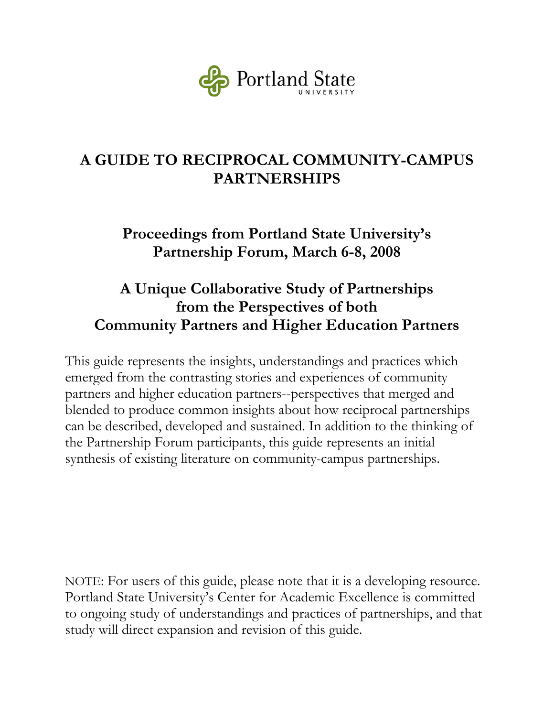

# **A GUIDE TO RECIPROCAL COMMUNITY-CAMPUS PARTNERSHIPS**

### **Proceedings from Portland State University's Partnership Forum, March 6-8, 2008**

## **A Unique Collaborative Study of Partnerships from the Perspectives of both Community Partners and Higher Education Partners**

This guide represents the insights, understandings and practices which emerged from the contrasting stories and experiences of community partners and higher education partners--perspectives that merged and blended to produce common insights about how reciprocal partnerships can be described, developed and sustained. In addition to the thinking of the Partnership Forum participants, this guide represents an initial synthesis of existing literature on community-campus partnerships.

NOTE: For users of this guide, please note that it is a developing resource. Portland State University's Center for Academic Excellence is committed to ongoing study of understandings and practices of partnerships, and that study will direct expansion and revision of this guide.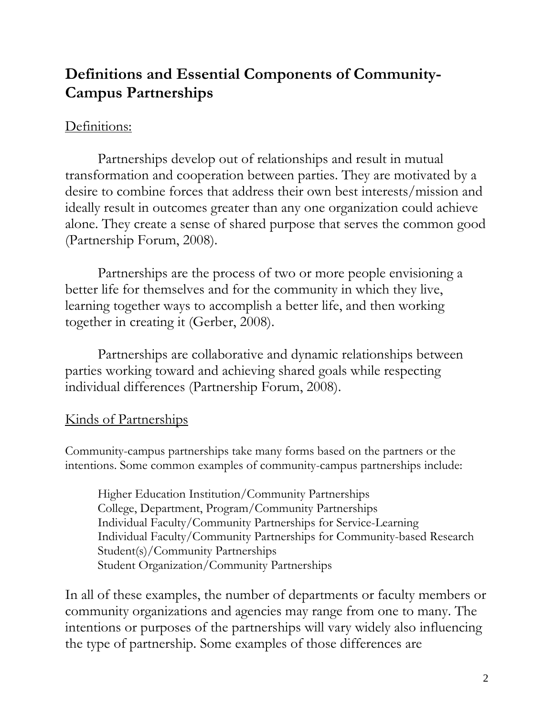## **Definitions and Essential Components of Community-Campus Partnerships**

#### Definitions:

 Partnerships develop out of relationships and result in mutual transformation and cooperation between parties. They are motivated by a desire to combine forces that address their own best interests/mission and ideally result in outcomes greater than any one organization could achieve alone. They create a sense of shared purpose that serves the common good (Partnership Forum, 2008).

 Partnerships are the process of two or more people envisioning a better life for themselves and for the community in which they live, learning together ways to accomplish a better life, and then working together in creating it (Gerber, 2008).

 Partnerships are collaborative and dynamic relationships between parties working toward and achieving shared goals while respecting individual differences (Partnership Forum, 2008).

### Kinds of Partnerships

Community-campus partnerships take many forms based on the partners or the intentions. Some common examples of community-campus partnerships include:

Higher Education Institution/Community Partnerships College, Department, Program/Community Partnerships Individual Faculty/Community Partnerships for Service-Learning Individual Faculty/Community Partnerships for Community-based Research Student(s)/Community Partnerships Student Organization/Community Partnerships

In all of these examples, the number of departments or faculty members or community organizations and agencies may range from one to many. The intentions or purposes of the partnerships will vary widely also influencing the type of partnership. Some examples of those differences are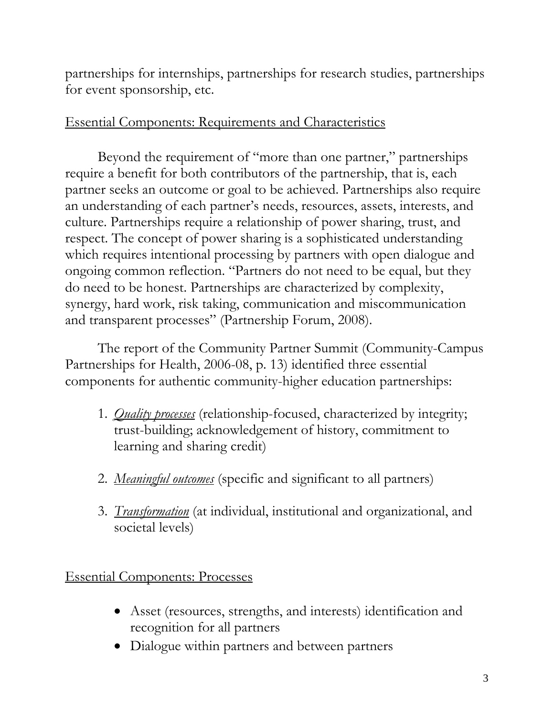partnerships for internships, partnerships for research studies, partnerships for event sponsorship, etc.

#### Essential Components: Requirements and Characteristics

Beyond the requirement of "more than one partner," partnerships require a benefit for both contributors of the partnership, that is, each partner seeks an outcome or goal to be achieved. Partnerships also require an understanding of each partner's needs, resources, assets, interests, and culture. Partnerships require a relationship of power sharing, trust, and respect. The concept of power sharing is a sophisticated understanding which requires intentional processing by partners with open dialogue and ongoing common reflection. "Partners do not need to be equal, but they do need to be honest. Partnerships are characterized by complexity, synergy, hard work, risk taking, communication and miscommunication and transparent processes" (Partnership Forum, 2008).

The report of the Community Partner Summit (Community-Campus Partnerships for Health, 2006-08, p. 13) identified three essential components for authentic community-higher education partnerships:

- 1. *Quality processes* (relationship-focused, characterized by integrity; trust-building; acknowledgement of history, commitment to learning and sharing credit)
- 2. *Meaningful outcomes* (specific and significant to all partners)
- 3. *Transformation* (at individual, institutional and organizational, and societal levels)

Essential Components: Processes

- Asset (resources, strengths, and interests) identification and recognition for all partners
- Dialogue within partners and between partners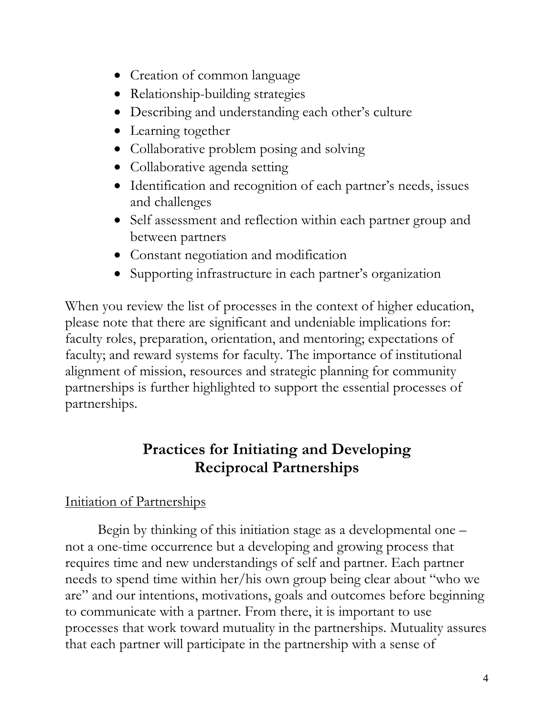- Creation of common language
- Relationship-building strategies
- Describing and understanding each other's culture
- Learning together
- Collaborative problem posing and solving
- Collaborative agenda setting
- Identification and recognition of each partner's needs, issues and challenges
- Self assessment and reflection within each partner group and between partners
- Constant negotiation and modification
- Supporting infrastructure in each partner's organization

When you review the list of processes in the context of higher education, please note that there are significant and undeniable implications for: faculty roles, preparation, orientation, and mentoring; expectations of faculty; and reward systems for faculty. The importance of institutional alignment of mission, resources and strategic planning for community partnerships is further highlighted to support the essential processes of partnerships.

# **Practices for Initiating and Developing Reciprocal Partnerships**

### Initiation of Partnerships

Begin by thinking of this initiation stage as a developmental one – not a one-time occurrence but a developing and growing process that requires time and new understandings of self and partner. Each partner needs to spend time within her/his own group being clear about "who we are" and our intentions, motivations, goals and outcomes before beginning to communicate with a partner. From there, it is important to use processes that work toward mutuality in the partnerships. Mutuality assures that each partner will participate in the partnership with a sense of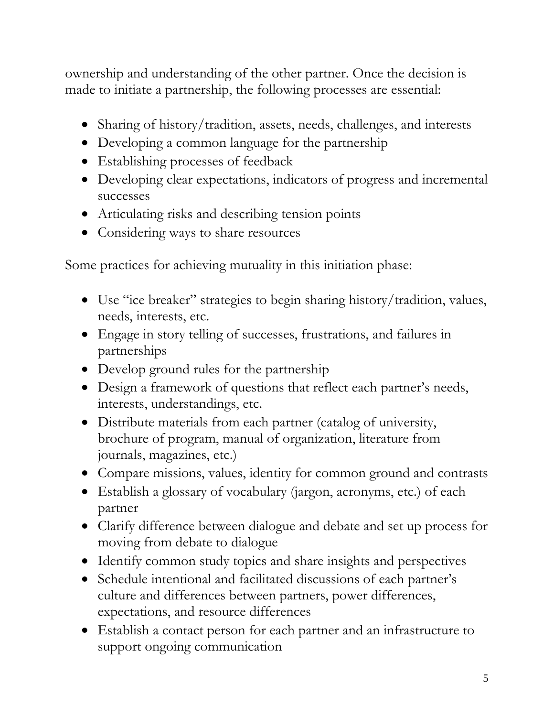ownership and understanding of the other partner. Once the decision is made to initiate a partnership, the following processes are essential:

- Sharing of history/tradition, assets, needs, challenges, and interests
- Developing a common language for the partnership
- Establishing processes of feedback
- Developing clear expectations, indicators of progress and incremental successes
- Articulating risks and describing tension points
- Considering ways to share resources

Some practices for achieving mutuality in this initiation phase:

- Use "ice breaker" strategies to begin sharing history/tradition, values, needs, interests, etc.
- Engage in story telling of successes, frustrations, and failures in partnerships
- Develop ground rules for the partnership
- Design a framework of questions that reflect each partner's needs, interests, understandings, etc.
- Distribute materials from each partner (catalog of university, brochure of program, manual of organization, literature from journals, magazines, etc.)
- Compare missions, values, identity for common ground and contrasts
- Establish a glossary of vocabulary (jargon, acronyms, etc.) of each partner
- Clarify difference between dialogue and debate and set up process for moving from debate to dialogue
- Identify common study topics and share insights and perspectives
- Schedule intentional and facilitated discussions of each partner's culture and differences between partners, power differences, expectations, and resource differences
- Establish a contact person for each partner and an infrastructure to support ongoing communication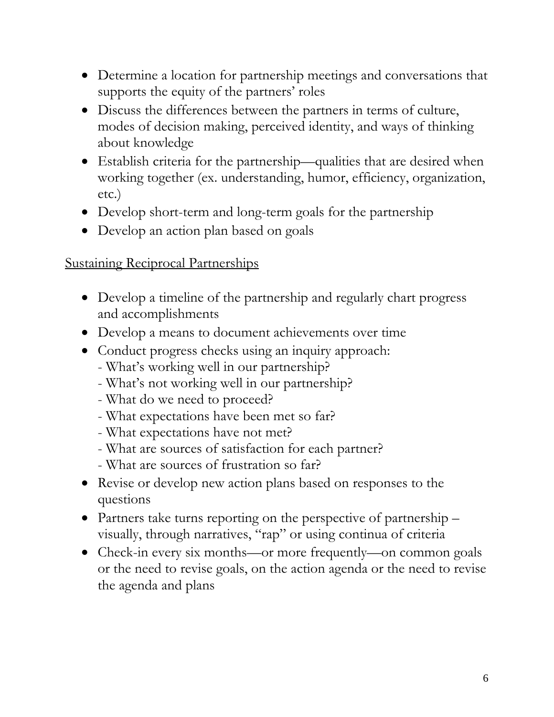- Determine a location for partnership meetings and conversations that supports the equity of the partners' roles
- Discuss the differences between the partners in terms of culture, modes of decision making, perceived identity, and ways of thinking about knowledge
- Establish criteria for the partnership—qualities that are desired when working together (ex. understanding, humor, efficiency, organization, etc.)
- Develop short-term and long-term goals for the partnership
- Develop an action plan based on goals

### Sustaining Reciprocal Partnerships

- Develop a timeline of the partnership and regularly chart progress and accomplishments
- Develop a means to document achievements over time
- Conduct progress checks using an inquiry approach:
	- What's working well in our partnership?
	- What's not working well in our partnership?
	- What do we need to proceed?
	- What expectations have been met so far?
	- What expectations have not met?
	- What are sources of satisfaction for each partner?
	- What are sources of frustration so far?
- Revise or develop new action plans based on responses to the questions
- Partners take turns reporting on the perspective of partnership visually, through narratives, "rap" or using continua of criteria
- Check-in every six months—or more frequently—on common goals or the need to revise goals, on the action agenda or the need to revise the agenda and plans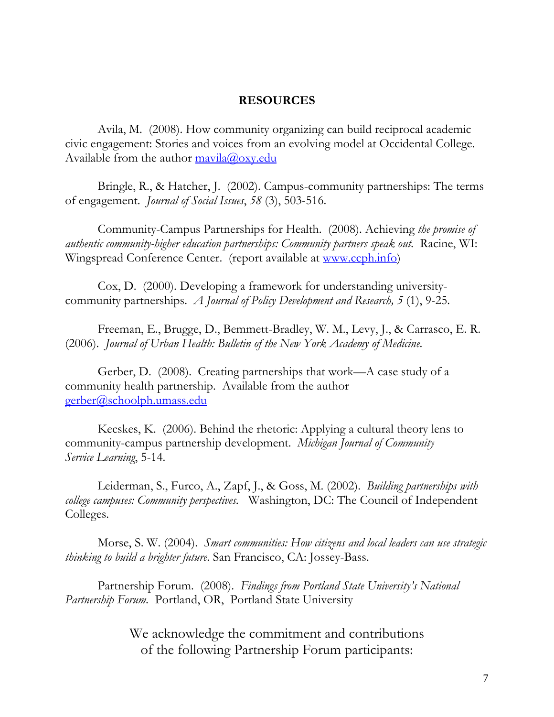#### **RESOURCES**

Avila, M. (2008). How community organizing can build reciprocal academic civic engagement: Stories and voices from an evolving model at Occidental College. Available from the author  $\frac{\text{maxila}(a) \text{o} xy \cdot \text{edu}}{a}$ 

 Bringle, R., & Hatcher, J. (2002). Campus-community partnerships: The terms of engagement. *Journal of Social Issues*, *58* (3), 503-516.

Community-Campus Partnerships for Health. (2008). Achieving *the promise of authentic community-higher education partnerships: Community partners speak out.* Racine, WI: Wingspread Conference Center. (report available at www.ccph.info)

 Cox, D. (2000). Developing a framework for understanding universitycommunity partnerships. *A Journal of Policy Development and Research, 5* (1), 9-25.

 Freeman, E., Brugge, D., Bemmett-Bradley, W. M., Levy, J., & Carrasco, E. R. (2006). *Journal of Urban Health: Bulletin of the New York Academy of Medicine.*

 Gerber, D. (2008). Creating partnerships that work—A case study of a community health partnership. Available from the author gerber@schoolph.umass.edu

 Kecskes, K. (2006). Behind the rhetoric: Applying a cultural theory lens to community-campus partnership development. *Michigan Journal of Community Service Learning*, 5-14.

 Leiderman, S., Furco, A., Zapf, J., & Goss, M. (2002). *Building partnerships with college campuses: Community perspectives.* Washington, DC: The Council of Independent Colleges.

Morse, S. W. (2004). *Smart communities: How citizens and local leaders can use strategic thinking to build a brighter future*. San Francisco, CA: Jossey-Bass.

Partnership Forum. (2008). *Findings from Portland State University's National Partnership Forum.* Portland, OR, Portland State University

> We acknowledge the commitment and contributions of the following Partnership Forum participants: